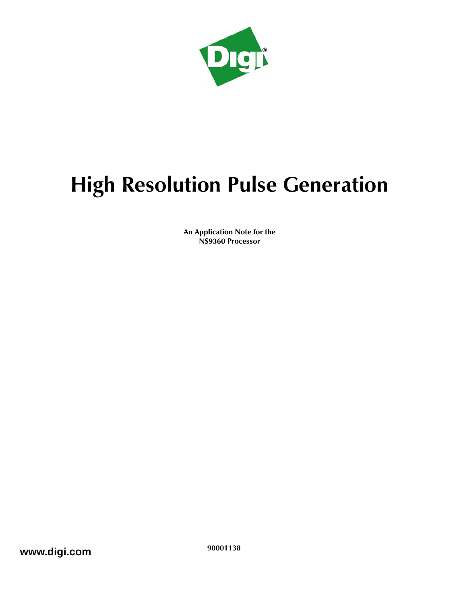

# **High Resolution Pulse Generation**

**An Application Note for the NS9360 Processor**

**www.digi.com** 90001138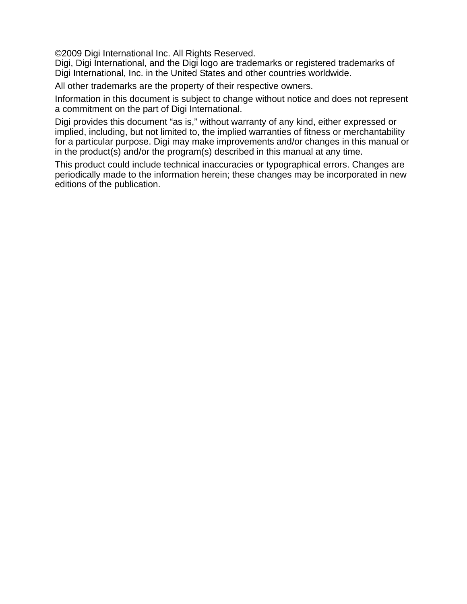©2009 Digi International Inc. All Rights Reserved.

Digi, Digi International, and the Digi logo are trademarks or registered trademarks of Digi International, Inc. in the United States and other countries worldwide.

All other trademarks are the property of their respective owners.

Information in this document is subject to change without notice and does not represent a commitment on the part of Digi International.

Digi provides this document "as is," without warranty of any kind, either expressed or implied, including, but not limited to, the implied warranties of fitness or merchantability for a particular purpose. Digi may make improvements and/or changes in this manual or in the product(s) and/or the program(s) described in this manual at any time.

This product could include technical inaccuracies or typographical errors. Changes are periodically made to the information herein; these changes may be incorporated in new editions of the publication.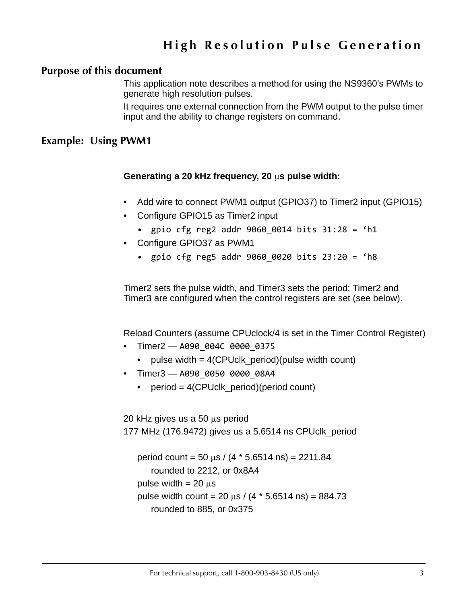# **High Resolution Pulse Generation**

#### **Purpose of this document**

This application note describes a method for using the NS9360's PWMs to generate high resolution pulses.

It requires one external connection from the PWM output to the pulse timer input and the ability to change registers on command.

## **Example: Using PWM1**

#### **Generating a 20 kHz frequency, 20 s pulse width:**

- Add wire to connect PWM1 output (GPIO37) to Timer2 input (GPIO15)
- Configure GPIO15 as Timer2 input
	- gpio cfg reg2 addr 9060\_0014 bits 31:28 = 'h1
- Configure GPIO37 as PWM1
	- gpio cfg reg5 addr 9060\_0020 bits 23:20 = 'h8

Timer2 sets the pulse width, and Timer3 sets the period; Timer2 and Timer3 are configured when the control registers are set (see below).

Reload Counters (assume CPUclock/4 is set in the Timer Control Register)

- Timer2 A090\_004C 0000\_0375
	- pulse width = 4(CPUclk\_period)(pulse width count)
- Timer3 A090 0050 0000 08A4
	- period = 4(CPUclk\_period)(period count)

20 kHz gives us a 50  $\mu$ s period

177 MHz (176.9472) gives us a 5.6514 ns CPUclk\_period

```
period count = 50 \text{ µs} / (4 * 5.6514 \text{ ns}) = 2211.84rounded to 2212, or 0x8A4
pulse width = 20 \mu spulse width count = 20 \text{ µs} / (4 * 5.6514 \text{ ns}) = 884.73rounded to 885, or 0x375
```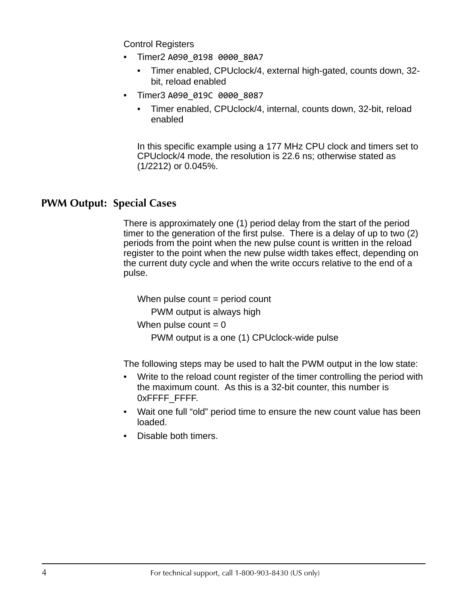Control Registers

- Timer2 A090 0198 0000 80A7
	- Timer enabled, CPUclock/4, external high-gated, counts down, 32 bit, reload enabled
- Timer3 A090 019C 0000 8087
	- Timer enabled, CPUclock/4, internal, counts down, 32-bit, reload enabled

In this specific example using a 177 MHz CPU clock and timers set to CPUclock/4 mode, the resolution is 22.6 ns; otherwise stated as (1/2212) or 0.045%.

# **PWM Output: Special Cases**

There is approximately one (1) period delay from the start of the period timer to the generation of the first pulse. There is a delay of up to two (2) periods from the point when the new pulse count is written in the reload register to the point when the new pulse width takes effect, depending on the current duty cycle and when the write occurs relative to the end of a pulse.

When pulse  $count = period$  count

PWM output is always high

```
When pulse count = 0
```
PWM output is a one (1) CPUclock-wide pulse

The following steps may be used to halt the PWM output in the low state:

- Write to the reload count register of the timer controlling the period with the maximum count. As this is a 32-bit counter, this number is 0xFFFF FFFF.
- Wait one full "old" period time to ensure the new count value has been loaded.
- Disable both timers.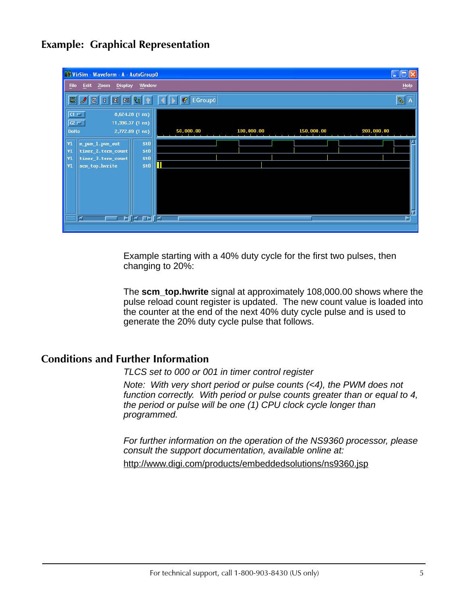# **Example: Graphical Representation**

| <b>NEW VirSim - Waveform - A - AutoGroupO</b>                                                                                                                                                                              |                          |            |            | $\lfloor \_ \rfloor$ $\lfloor \_ \rfloor$ x |
|----------------------------------------------------------------------------------------------------------------------------------------------------------------------------------------------------------------------------|--------------------------|------------|------------|---------------------------------------------|
| Edit<br><b>Display</b><br>Eile<br>Zoom<br>Window                                                                                                                                                                           |                          |            |            | Heip                                        |
| 圈<br> Z <br>$\begin{array}{ c c c }\hline \text{z} & \text{z} \end{array}$<br>$\,$ Z<br>鬼                                                                                                                                  | EGroup0<br>$\mathcal{C}$ |            |            | $\sqrt{\frac{2}{\sqrt{3}}}$                 |
| I<br>8,624.28 (1 ns)<br>$CT =$<br>IJ<br>11,396.37 (1 ns)<br>$C2 \Box$<br>2,772.09 (1 ns)<br><b>Delta</b>                                                                                                                   | 50,000.00                | 100,000.00 | 150,000.00 | 200,000.00                                  |
| $\begin{array}{c} \nV1 \\ V1\n\end{array}$<br><b>StO</b><br>m_pwm_1.pwm_out<br><b>StO</b><br>timer_2.term_count<br>$ v_1 $<br>stū<br>timer_3.term_count<br>$\vert$ vı<br>П<br>st0<br>scm_top.hwrite<br><u>NK ⊏NK</u><br>×. |                          |            |            | H                                           |

Example starting with a 40% duty cycle for the first two pulses, then changing to 20%:

The **scm\_top.hwrite** signal at approximately 108,000.00 shows where the pulse reload count register is updated. The new count value is loaded into the counter at the end of the next 40% duty cycle pulse and is used to generate the 20% duty cycle pulse that follows.

### **Conditions and Further Information**

*TLCS set to 000 or 001 in timer control register*

*Note: With very short period or pulse counts (<4), the PWM does not function correctly. With period or pulse counts greater than or equal to 4, the period or pulse will be one (1) CPU clock cycle longer than programmed.*

*For further information on the operation of the NS9360 processor, please consult the support documentation, available online at:* http://www.digi.com/products/embeddedsolutions/ns9360.jsp